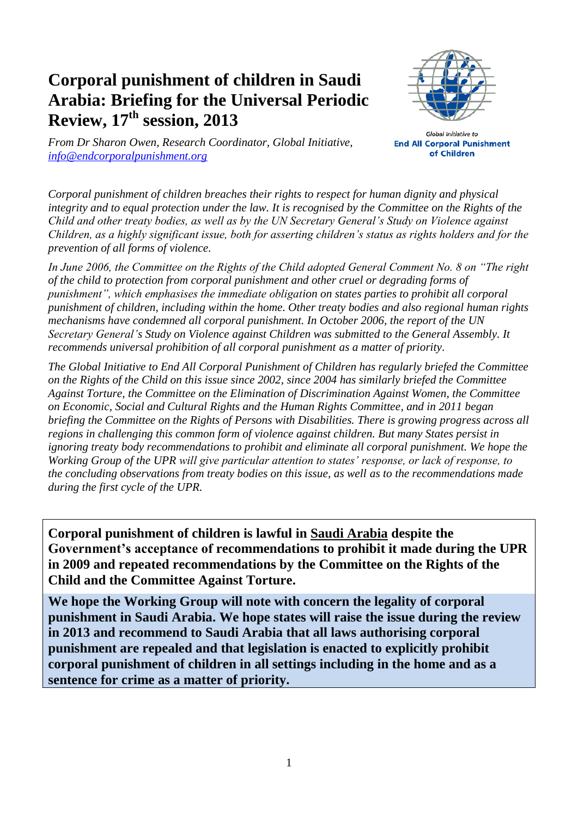## **Corporal punishment of children in Saudi Arabia: Briefing for the Universal Periodic Review, 17th session, 2013**



*From Dr Sharon Owen, Research Coordinator, Global Initiative, [info@endcorporalpunishment.org](mailto:info@endcorporalpunishment.org)*

**Global Initiative to End All Corporal Punishment** of Children

*Corporal punishment of children breaches their rights to respect for human dignity and physical integrity and to equal protection under the law. It is recognised by the Committee on the Rights of the Child and other treaty bodies, as well as by the UN Secretary General's Study on Violence against Children, as a highly significant issue, both for asserting children's status as rights holders and for the prevention of all forms of violence.*

*In June 2006, the Committee on the Rights of the Child adopted General Comment No. 8 on "The right of the child to protection from corporal punishment and other cruel or degrading forms of punishment", which emphasises the immediate obligation on states parties to prohibit all corporal punishment of children, including within the home. Other treaty bodies and also regional human rights mechanisms have condemned all corporal punishment. In October 2006, the report of the UN Secretary General's Study on Violence against Children was submitted to the General Assembly. It recommends universal prohibition of all corporal punishment as a matter of priority.*

*The Global Initiative to End All Corporal Punishment of Children has regularly briefed the Committee on the Rights of the Child on this issue since 2002, since 2004 has similarly briefed the Committee Against Torture, the Committee on the Elimination of Discrimination Against Women, the Committee on Economic, Social and Cultural Rights and the Human Rights Committee, and in 2011 began briefing the Committee on the Rights of Persons with Disabilities. There is growing progress across all regions in challenging this common form of violence against children. But many States persist in ignoring treaty body recommendations to prohibit and eliminate all corporal punishment. We hope the Working Group of the UPR will give particular attention to states' response, or lack of response, to the concluding observations from treaty bodies on this issue, as well as to the recommendations made during the first cycle of the UPR.*

**Corporal punishment of children is lawful in Saudi Arabia despite the Government's acceptance of recommendations to prohibit it made during the UPR in 2009 and repeated recommendations by the Committee on the Rights of the Child and the Committee Against Torture.**

**We hope the Working Group will note with concern the legality of corporal punishment in Saudi Arabia. We hope states will raise the issue during the review in 2013 and recommend to Saudi Arabia that all laws authorising corporal punishment are repealed and that legislation is enacted to explicitly prohibit corporal punishment of children in all settings including in the home and as a sentence for crime as a matter of priority.**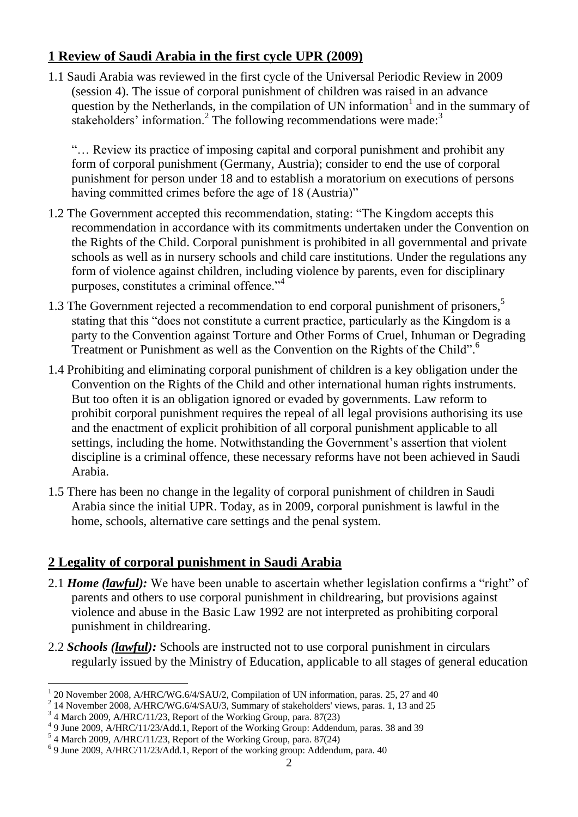## **1 Review of Saudi Arabia in the first cycle UPR (2009)**

1.1 Saudi Arabia was reviewed in the first cycle of the Universal Periodic Review in 2009 (session 4). The issue of corporal punishment of children was raised in an advance question by the Netherlands, in the compilation of UN information<sup>1</sup> and in the summary of stakeholders' information.<sup>2</sup> The following recommendations were made:<sup>3</sup>

"… Review its practice of imposing capital and corporal punishment and prohibit any form of corporal punishment (Germany, Austria); consider to end the use of corporal punishment for person under 18 and to establish a moratorium on executions of persons having committed crimes before the age of 18 (Austria)"

- 1.2 The Government accepted this recommendation, stating: "The Kingdom accepts this recommendation in accordance with its commitments undertaken under the Convention on the Rights of the Child. Corporal punishment is prohibited in all governmental and private schools as well as in nursery schools and child care institutions. Under the regulations any form of violence against children, including violence by parents, even for disciplinary purposes, constitutes a criminal offence."<sup>4</sup>
- 1.3 The Government rejected a recommendation to end corporal punishment of prisoners,<sup>5</sup> stating that this "does not constitute a current practice, particularly as the Kingdom is a party to the Convention against Torture and Other Forms of Cruel, Inhuman or Degrading Treatment or Punishment as well as the Convention on the Rights of the Child".<sup>6</sup>
- 1.4 Prohibiting and eliminating corporal punishment of children is a key obligation under the Convention on the Rights of the Child and other international human rights instruments. But too often it is an obligation ignored or evaded by governments. Law reform to prohibit corporal punishment requires the repeal of all legal provisions authorising its use and the enactment of explicit prohibition of all corporal punishment applicable to all settings, including the home. Notwithstanding the Government's assertion that violent discipline is a criminal offence, these necessary reforms have not been achieved in Saudi Arabia.
- 1.5 There has been no change in the legality of corporal punishment of children in Saudi Arabia since the initial UPR. Today, as in 2009, corporal punishment is lawful in the home, schools, alternative care settings and the penal system.

## **2 Legality of corporal punishment in Saudi Arabia**

- 2.1 *Home (lawful):* We have been unable to ascertain whether legislation confirms a "right" of parents and others to use corporal punishment in childrearing, but provisions against violence and abuse in the Basic Law 1992 are not interpreted as prohibiting corporal punishment in childrearing.
- 2.2 *Schools (lawful):* Schools are instructed not to use corporal punishment in circulars regularly issued by the Ministry of Education, applicable to all stages of general education

 $\overline{a}$ 

<sup>1</sup> 20 November 2008, A/HRC/WG.6/4/SAU/2, Compilation of UN information, paras. 25, 27 and 40

<sup>&</sup>lt;sup>2</sup> 14 November 2008, A/HRC/WG.6/4/SAU/3, Summary of stakeholders' views, paras. 1, 13 and 25

<sup>&</sup>lt;sup>3</sup> 4 March 2009, A/HRC/11/23, Report of the Working Group, para. 87(23)

<sup>&</sup>lt;sup>4</sup> 9 June 2009, A/HRC/11/23/Add.1, Report of the Working Group: Addendum, paras. 38 and 39

<sup>5</sup> 4 March 2009, A/HRC/11/23, Report of the Working Group, para. 87(24)

<sup>&</sup>lt;sup>6</sup> 9 June 2009, A/HRC/11/23/Add.1, Report of the working group: Addendum, para. 40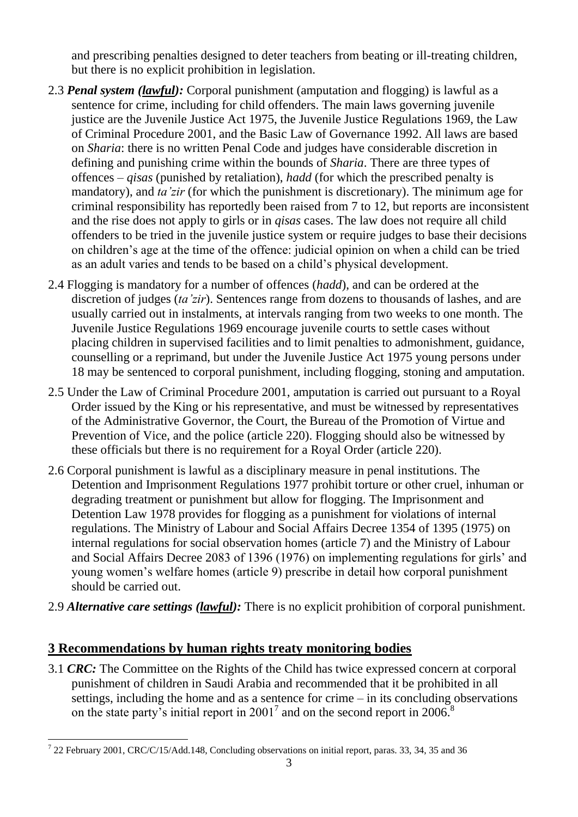and prescribing penalties designed to deter teachers from beating or ill-treating children, but there is no explicit prohibition in legislation.

- 2.3 *Penal system (lawful):* Corporal punishment (amputation and flogging) is lawful as a sentence for crime, including for child offenders. The main laws governing juvenile justice are the Juvenile Justice Act 1975, the Juvenile Justice Regulations 1969, the Law of Criminal Procedure 2001, and the Basic Law of Governance 1992. All laws are based on *Sharia*: there is no written Penal Code and judges have considerable discretion in defining and punishing crime within the bounds of *Sharia*. There are three types of offences – *qisas* (punished by retaliation), *hadd* (for which the prescribed penalty is mandatory), and *ta'zir* (for which the punishment is discretionary). The minimum age for criminal responsibility has reportedly been raised from 7 to 12, but reports are inconsistent and the rise does not apply to girls or in *qisas* cases. The law does not require all child offenders to be tried in the juvenile justice system or require judges to base their decisions on children's age at the time of the offence: judicial opinion on when a child can be tried as an adult varies and tends to be based on a child's physical development.
- 2.4 Flogging is mandatory for a number of offences (*hadd*), and can be ordered at the discretion of judges (*ta'zir*). Sentences range from dozens to thousands of lashes, and are usually carried out in instalments, at intervals ranging from two weeks to one month. The Juvenile Justice Regulations 1969 encourage juvenile courts to settle cases without placing children in supervised facilities and to limit penalties to admonishment, guidance, counselling or a reprimand, but under the Juvenile Justice Act 1975 young persons under 18 may be sentenced to corporal punishment, including flogging, stoning and amputation.
- 2.5 Under the Law of Criminal Procedure 2001, amputation is carried out pursuant to a Royal Order issued by the King or his representative, and must be witnessed by representatives of the Administrative Governor, the Court, the Bureau of the Promotion of Virtue and Prevention of Vice, and the police (article 220). Flogging should also be witnessed by these officials but there is no requirement for a Royal Order (article 220).
- 2.6 Corporal punishment is lawful as a disciplinary measure in penal institutions. The Detention and Imprisonment Regulations 1977 prohibit torture or other cruel, inhuman or degrading treatment or punishment but allow for flogging. The Imprisonment and Detention Law 1978 provides for flogging as a punishment for violations of internal regulations. The Ministry of Labour and Social Affairs Decree 1354 of 1395 (1975) on internal regulations for social observation homes (article 7) and the Ministry of Labour and Social Affairs Decree 2083 of 1396 (1976) on implementing regulations for girls' and young women's welfare homes (article 9) prescribe in detail how corporal punishment should be carried out.
- 2.9 *Alternative care settings (lawful):* There is no explicit prohibition of corporal punishment.

## **3 Recommendations by human rights treaty monitoring bodies**

3.1 *CRC:* The Committee on the Rights of the Child has twice expressed concern at corporal punishment of children in Saudi Arabia and recommended that it be prohibited in all settings, including the home and as a sentence for crime – in its concluding observations on the state party's initial report in 2001<sup>7</sup> and on the second report in 2006.<sup>8</sup>

 $\overline{a}$  $^7$  22 February 2001, CRC/C/15/Add.148, Concluding observations on initial report, paras. 33, 34, 35 and 36